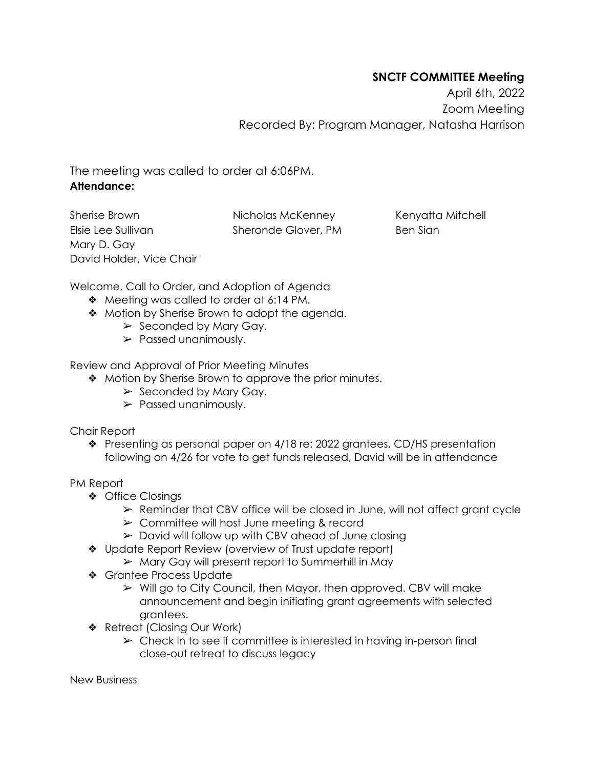## **SNCTF COMMITTEE Meeting**

April 6th, 2022 Zoom Meeting Recorded By: Program Manager, Natasha Harrison

The meeting was called to order at 6:06PM. **Attendance:**

Sherise Brown Elsie Lee Sullivan Mary D. Gay David Holder, Vice Chair Nicholas McKenney Sheronde Glover, PM Kenyatta Mitchell Ben Sian

Welcome, Call to Order, and Adoption of Agenda

- ❖ Meeting was called to order at 6:14 PM.
- ❖ Motion by Sherise Brown to adopt the agenda.
	- $\triangleright$  Seconded by Mary Gay.
	- ➢ Passed unanimously.

Review and Approval of Prior Meeting Minutes

- ❖ Motion by Sherise Brown to approve the prior minutes.
	- $\triangleright$  Seconded by Mary Gay.
	- ➢ Passed unanimously.

Chair Report

❖ Presenting as personal paper on 4/18 re: 2022 grantees, CD/HS presentation following on 4/26 for vote to get funds released, David will be in attendance

PM Report

- ❖ Office Closings
	- $\triangleright$  Reminder that CBV office will be closed in June, will not affect grant cycle
	- $\geq$  Committee will host June meeting & record
	- $\triangleright$  David will follow up with CBV ahead of June closing
- ❖ Update Report Review (overview of Trust update report)
	- $\triangleright$  Mary Gay will present report to Summerhill in May
- ❖ Grantee Process Update
	- ➢ Will go to City Council, then Mayor, then approved. CBV will make announcement and begin initiating grant agreements with selected grantees.
- ❖ Retreat (Closing Our Work)
	- $\triangleright$  Check in to see if committee is interested in having in-person final close-out retreat to discuss legacy

New Business